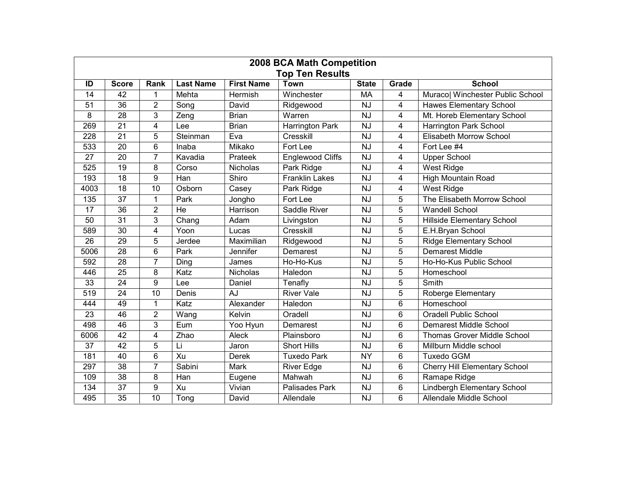| 2008 BCA Math Competition |                 |                 |                  |                   |                       |                |                |                                      |  |  |  |  |  |
|---------------------------|-----------------|-----------------|------------------|-------------------|-----------------------|----------------|----------------|--------------------------------------|--|--|--|--|--|
| <b>Top Ten Results</b>    |                 |                 |                  |                   |                       |                |                |                                      |  |  |  |  |  |
| ID                        | <b>Score</b>    | Rank            | <b>Last Name</b> | <b>First Name</b> | <b>Town</b>           | <b>State</b>   | Grade          | <b>School</b>                        |  |  |  |  |  |
| 14                        | 42              | 1               | Mehta            | Hermish           | Winchester            | <b>MA</b>      | 4              | Muraco  Winchester Public School     |  |  |  |  |  |
| 51                        | 36              | $\overline{2}$  | Song             | David             | Ridgewood             | <b>NJ</b>      | 4              | <b>Hawes Elementary School</b>       |  |  |  |  |  |
| 8                         | $\overline{28}$ | 3               | Zeng             | <b>Brian</b>      | Warren                | <b>NJ</b>      | 4              | Mt. Horeb Elementary School          |  |  |  |  |  |
| 269                       | $\overline{21}$ | 4               | Lee              | <b>Brian</b>      | Harrington Park       | <b>NJ</b>      | 4              | Harrington Park School               |  |  |  |  |  |
| 228                       | 21              | 5               | Steinman         | Eva               | Cresskill             | NJ             | 4              | Elisabeth Morrow School              |  |  |  |  |  |
| $\overline{533}$          | $\overline{20}$ | 6               | Inaba            | Mikako            | Fort Lee              | <b>NJ</b>      | 4              | Fort Lee $#4$                        |  |  |  |  |  |
| 27                        | 20              | 7               | Kavadia          | Prateek           | Englewood Cliffs      | <b>NJ</b>      | 4              | <b>Upper School</b>                  |  |  |  |  |  |
| 525                       | $\overline{19}$ | 8               | Corso            | Nicholas          | Park Ridge            | $\overline{N}$ | 4              | West Ridge                           |  |  |  |  |  |
| 193                       | 18              | 9               | Han              | Shiro             | <b>Franklin Lakes</b> | <b>NJ</b>      | 4              | <b>High Mountain Road</b>            |  |  |  |  |  |
| 4003                      | $\overline{18}$ | 10              | Osborn           | Casey             | Park Ridge            | $\overline{N}$ | 4              | West Ridge                           |  |  |  |  |  |
| 135                       | 37              | 1               | Park             | Jongho            | Fort Lee              | <b>NJ</b>      | 5              | The Elisabeth Morrow School          |  |  |  |  |  |
| 17                        | $\overline{36}$ | $\overline{2}$  | He               | Harrison          | Saddle River          | <b>NJ</b>      | $\overline{5}$ | <b>Wandell School</b>                |  |  |  |  |  |
| 50                        | $\overline{31}$ | 3               | Chang            | Adam              | Livingston            | <b>NJ</b>      | 5              | <b>Hillside Elementary School</b>    |  |  |  |  |  |
| 589                       | 30              | 4               | Yoon             | Lucas             | Cresskill             | <b>NJ</b>      | 5              | E.H.Bryan School                     |  |  |  |  |  |
| 26                        | 29              | 5               | Jerdee           | Maximilian        | Ridgewood             | <b>NJ</b>      | 5              | <b>Ridge Elementary School</b>       |  |  |  |  |  |
| 5006                      | 28              | 6               | Park             | Jennifer          | Demarest              | $\overline{N}$ | $\overline{5}$ | <b>Demarest Middle</b>               |  |  |  |  |  |
| 592                       | $\overline{28}$ | $\overline{7}$  | Ding             | James             | Ho-Ho-Kus             | <b>NJ</b>      | 5              | Ho-Ho-Kus Public School              |  |  |  |  |  |
| 446                       | $\overline{25}$ | 8               | Katz             | Nicholas          | Haledon               | $\overline{N}$ | 5              | Homeschool                           |  |  |  |  |  |
| 33                        | 24              | 9               | Lee              | Daniel            | Tenafly               | <b>NJ</b>      | 5              | Smith                                |  |  |  |  |  |
| 519                       | $\overline{24}$ | 10              | Denis            | AJ                | <b>River Vale</b>     | $\overline{N}$ | 5              | Roberge Elementary                   |  |  |  |  |  |
| 444                       | 49              | 1               | Katz             | Alexander         | Haledon               | <b>NJ</b>      | 6              | Homeschool                           |  |  |  |  |  |
| 23                        | 46              | $\overline{2}$  | Wang             | Kelvin            | Oradell               | <b>NJ</b>      | 6              | <b>Oradell Public School</b>         |  |  |  |  |  |
| 498                       | 46              | 3               | Eum              | Yoo Hyun          | Demarest              | <b>NJ</b>      | 6              | <b>Demarest Middle School</b>        |  |  |  |  |  |
| 6006                      | 42              | 4               | Zhao             | Aleck             | Plainsboro            | <b>NJ</b>      | 6              | <b>Thomas Grover Middle School</b>   |  |  |  |  |  |
| 37                        | 42              | 5               | Li               | Jaron             | <b>Short Hills</b>    | <b>NJ</b>      | 6              | Millburn Middle school               |  |  |  |  |  |
| 181                       | 40              | 6               | Xu               | <b>Derek</b>      | <b>Tuxedo Park</b>    | <b>NY</b>      | 6              | <b>Tuxedo GGM</b>                    |  |  |  |  |  |
| 297                       | 38              | $\overline{7}$  | Sabini           | Mark              | <b>River Edge</b>     | <b>NJ</b>      | 6              | <b>Cherry Hill Elementary School</b> |  |  |  |  |  |
| 109                       | $\overline{38}$ | 8               | Han              | Eugene            | Mahwah                | $\overline{N}$ | $\overline{6}$ | Ramape Ridge                         |  |  |  |  |  |
| 134                       | $\overline{37}$ | 9               | Xu               | Vivian            | Palisades Park        | <b>NJ</b>      | 6              | <b>Lindbergh Elementary School</b>   |  |  |  |  |  |
| 495                       | $\overline{35}$ | $\overline{10}$ | Tong             | David             | Allendale             | $\overline{N}$ | $\overline{6}$ | Allendale Middle School              |  |  |  |  |  |